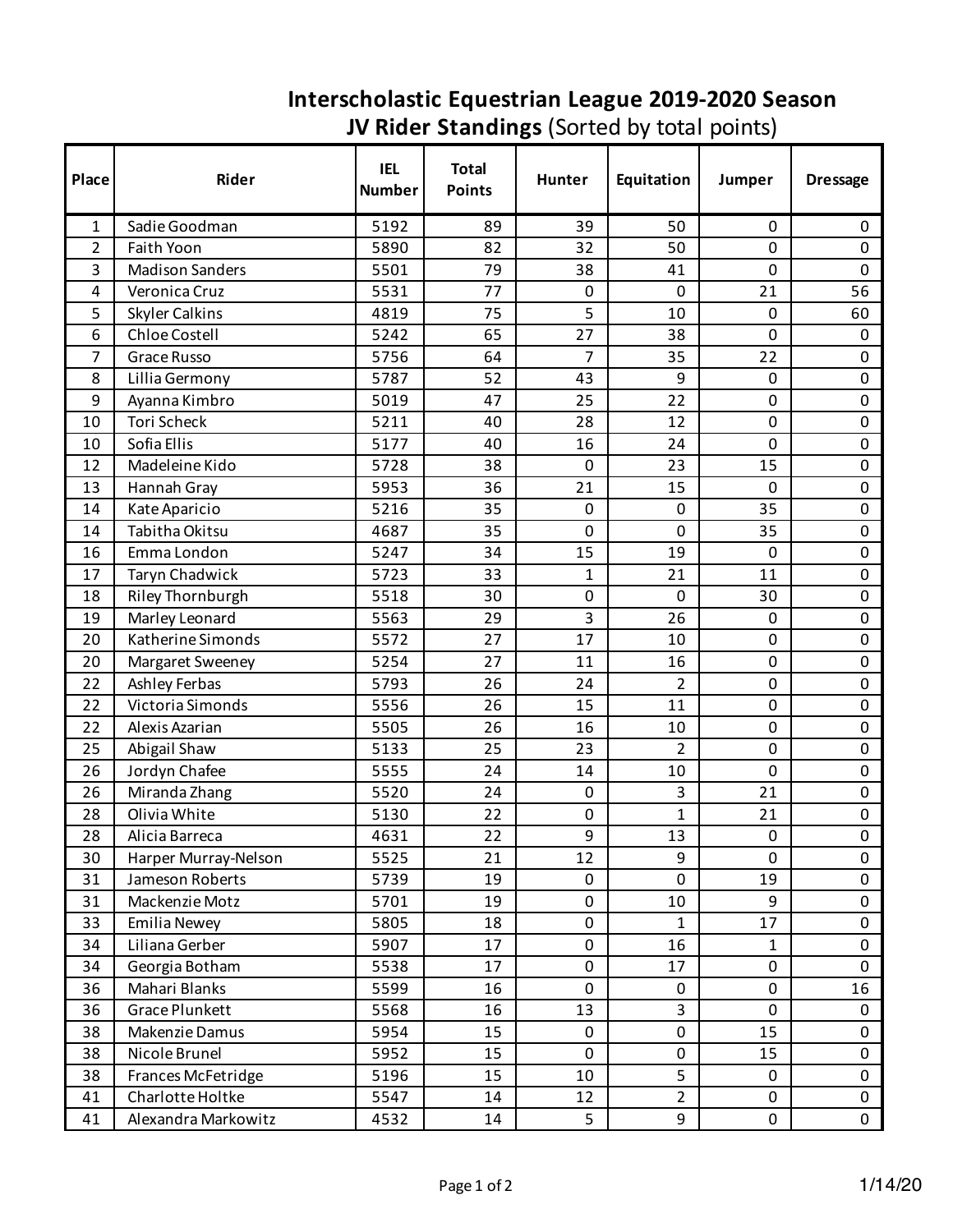## **Interscholastic Equestrian League 2019-2020 Season JV Rider Standings** (Sorted by total points)

| Place | Rider                   | <b>IEL</b><br><b>Number</b> | <b>Total</b><br><b>Points</b> | Hunter         | Equitation     | Jumper       | <b>Dressage</b> |
|-------|-------------------------|-----------------------------|-------------------------------|----------------|----------------|--------------|-----------------|
| 1     | Sadie Goodman           | 5192                        | 89                            | 39             | 50             | $\mathbf{0}$ | 0               |
| 2     | Faith Yoon              | 5890                        | 82                            | 32             | 50             | $\mathbf 0$  | 0               |
| 3     | <b>Madison Sanders</b>  | 5501                        | 79                            | 38             | 41             | $\mathbf 0$  | 0               |
| 4     | Veronica Cruz           | 5531                        | 77                            | 0              | 0              | 21           | 56              |
| 5     | <b>Skyler Calkins</b>   | 4819                        | 75                            | 5              | 10             | $\mathbf 0$  | 60              |
| 6     | Chloe Costell           | 5242                        | 65                            | 27             | 38             | $\mathbf 0$  | $\mathbf 0$     |
| 7     | Grace Russo             | 5756                        | 64                            | $\overline{7}$ | 35             | 22           | 0               |
| 8     | Lillia Germony          | 5787                        | 52                            | 43             | 9              | 0            | 0               |
| 9     | Ayanna Kimbro           | 5019                        | 47                            | 25             | 22             | $\mathbf 0$  | 0               |
| 10    | Tori Scheck             | 5211                        | 40                            | 28             | 12             | $\mathbf 0$  | 0               |
| 10    | Sofia Ellis             | 5177                        | 40                            | 16             | 24             | $\mathbf 0$  | 0               |
| 12    | Madeleine Kido          | 5728                        | 38                            | $\mathbf 0$    | 23             | 15           | 0               |
| 13    | Hannah Gray             | 5953                        | 36                            | 21             | 15             | $\mathbf 0$  | 0               |
| 14    | Kate Aparicio           | 5216                        | 35                            | $\mathbf 0$    | 0              | 35           | 0               |
| 14    | Tabitha Okitsu          | 4687                        | 35                            | $\mathbf 0$    | $\mathbf 0$    | 35           | 0               |
| 16    | Emma London             | 5247                        | 34                            | 15             | 19             | $\mathbf 0$  | 0               |
| 17    | Taryn Chadwick          | 5723                        | 33                            | 1              | 21             | 11           | 0               |
| 18    | <b>Riley Thornburgh</b> | 5518                        | 30                            | $\mathbf 0$    | 0              | 30           | 0               |
| 19    | Marley Leonard          | 5563                        | 29                            | 3              | 26             | $\mathbf 0$  | 0               |
| 20    | Katherine Simonds       | 5572                        | 27                            | 17             | 10             | $\mathbf 0$  | 0               |
| 20    | Margaret Sweeney        | 5254                        | 27                            | 11             | 16             | $\mathbf 0$  | 0               |
| 22    | Ashley Ferbas           | 5793                        | 26                            | 24             | $\overline{2}$ | $\mathbf 0$  | 0               |
| 22    | Victoria Simonds        | 5556                        | 26                            | 15             | 11             | $\mathbf 0$  | 0               |
| 22    | Alexis Azarian          | 5505                        | 26                            | 16             | 10             | $\mathbf 0$  | 0               |
| 25    | Abigail Shaw            | 5133                        | 25                            | 23             | $\overline{2}$ | $\mathbf 0$  | 0               |
| 26    | Jordyn Chafee           | 5555                        | 24                            | 14             | 10             | $\mathbf 0$  | 0               |
| 26    | Miranda Zhang           | 5520                        | 24                            | $\mathbf 0$    | 3              | 21           | 0               |
| 28    | Olivia White            | 5130                        | 22                            | $\pmb{0}$      | $\mathbf{1}$   | 21           | 0               |
| 28    | Alicia Barreca          | 4631                        | 22                            | 9              | 13             | $\mathbf 0$  | 0               |
| 30    | Harper Murray-Nelson    | 5525                        | 21                            | 12             | 9              | $\mathbf 0$  | 0               |
| 31    | Jameson Roberts         | 5739                        | 19                            | 0              | 0              | 19           | $\mathbf 0$     |
| 31    | Mackenzie Motz          | 5701                        | 19                            | $\pmb{0}$      | 10             | 9            | 0               |
| 33    | <b>Emilia Newey</b>     | 5805                        | 18                            | $\mathbf 0$    | $\mathbf{1}$   | 17           | 0               |
| 34    | Liliana Gerber          | 5907                        | 17                            | 0              | 16             | $\mathbf{1}$ | $\mathbf 0$     |
| 34    | Georgia Botham          | 5538                        | 17                            | $\pmb{0}$      | 17             | $\pmb{0}$    | 0               |
| 36    | Mahari Blanks           | 5599                        | 16                            | $\mathbf 0$    | 0              | $\mathbf 0$  | 16              |
| 36    | Grace Plunkett          | 5568                        | 16                            | 13             | 3              | $\mathbf 0$  | $\mathbf 0$     |
| 38    | Makenzie Damus          | 5954                        | 15                            | $\pmb{0}$      | 0              | 15           | 0               |
| 38    | Nicole Brunel           | 5952                        | 15                            | $\mathbf 0$    | $\pmb{0}$      | 15           | 0               |
| 38    | Frances McFetridge      | 5196                        | 15                            | 10             | 5              | $\mathbf 0$  | $\mathsf{O}$    |
| 41    | Charlotte Holtke        | 5547                        | 14                            | 12             | $\overline{2}$ | 0            | 0               |
| 41    | Alexandra Markowitz     | 4532                        | 14                            | 5              | 9              | $\mathsf 0$  | $\mathbf 0$     |